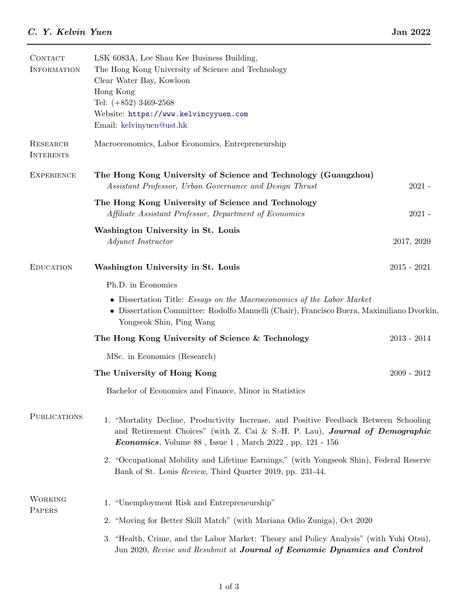| <b>CONTACT</b><br><b>INFORMATION</b> | LSK 6083A, Lee Shau Kee Business Building,<br>The Hong Kong University of Science and Technology<br>Clear Water Bay, Kowloon<br>Hong Kong<br>Tel: $(+852)$ 3469-2568<br>Website: https://www.kelvincyyuen.com<br>Email: kelvinyuen@ust.hk       |               |  |
|--------------------------------------|-------------------------------------------------------------------------------------------------------------------------------------------------------------------------------------------------------------------------------------------------|---------------|--|
| <b>RESEARCH</b><br><b>INTERESTS</b>  | Macroeconomics, Labor Economics, Entrepreneurship                                                                                                                                                                                               |               |  |
| <b>EXPERIENCE</b>                    | The Hong Kong University of Science and Technology (Guangzhou)<br>Assistant Professor, Urban Governance and Design Thrust                                                                                                                       | $2021 -$      |  |
|                                      | The Hong Kong University of Science and Technology<br>Affiliate Assistant Professor, Department of Economics                                                                                                                                    | $2021 -$      |  |
|                                      | Washington University in St. Louis<br>Adjunct Instructor                                                                                                                                                                                        | 2017, 2020    |  |
| <b>EDUCATION</b>                     | Washington University in St. Louis                                                                                                                                                                                                              | $2015 - 2021$ |  |
|                                      | Ph.D. in Economics                                                                                                                                                                                                                              |               |  |
|                                      | • Dissertation Title: <i>Essays on the Macroeconomics of the Labor Market</i><br>• Dissertation Committee: Rodolfo Manuelli (Chair), Francisco Buera, Maximiliano Dvorkin,<br>Yongseok Shin, Ping Wang                                          |               |  |
|                                      | The Hong Kong University of Science & Technology                                                                                                                                                                                                | $2013 - 2014$ |  |
|                                      | MSc. in Economics (Research)                                                                                                                                                                                                                    |               |  |
|                                      | The University of Hong Kong                                                                                                                                                                                                                     | $2009 - 2012$ |  |
|                                      | Bachelor of Economics and Finance, Minor in Statistics                                                                                                                                                                                          |               |  |
| <b>PUBLICATIONS</b>                  | 1. "Mortality Decline, Productivity Increase, and Positive Feedback Between Schooling<br>and Retirement Choices" (with Z. Cai & S.-H. P. Lau), Journal of Demographic<br><i>Economics</i> , Volume $88$ , Issue 1, March $2022$ , pp. 121 - 156 |               |  |
|                                      | 2. "Occupational Mobility and Lifetime Earnings," (with Yongseok Shin), Federal Reserve<br>Bank of St. Louis Review, Third Quarter 2019, pp. 231-44.                                                                                            |               |  |
| <b>WORKING</b><br>PAPERS             | 1. "Unemployment Risk and Entrepreneurship"                                                                                                                                                                                                     |               |  |
|                                      | 2. "Moving for Better Skill Match" (with Mariana Odio Zuniga), Oct 2020                                                                                                                                                                         |               |  |
|                                      | 3. "Health, Crime, and the Labor Market: Theory and Policy Analysis" (with Yuki Otsu),<br>Jun 2020, Revise and Resubmit at Journal of Economic Dynamics and Control                                                                             |               |  |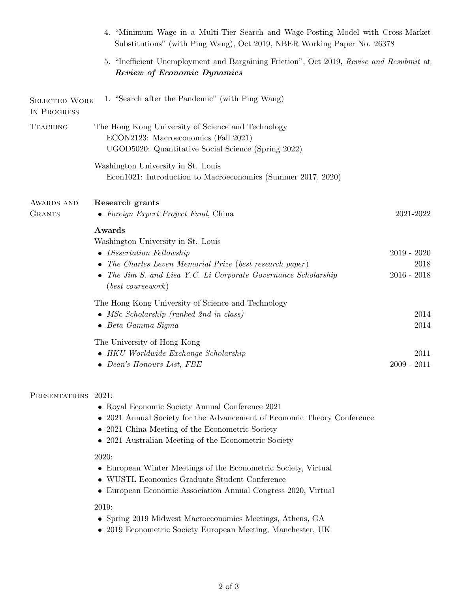|                              | 4. "Minimum Wage in a Multi-Tier Search and Wage-Posting Model with Cross-Market<br>Substitutions" (with Ping Wang), Oct 2019, NBER Working Paper No. 26378                                                                           |                                        |
|------------------------------|---------------------------------------------------------------------------------------------------------------------------------------------------------------------------------------------------------------------------------------|----------------------------------------|
|                              | 5. "Inefficient Unemployment and Bargaining Friction", Oct 2019, Revise and Resubmit at<br><b>Review of Economic Dynamics</b>                                                                                                         |                                        |
| SELECTED WORK<br>IN PROGRESS | 1. "Search after the Pandemic" (with Ping Wang)                                                                                                                                                                                       |                                        |
| <b>TEACHING</b>              | The Hong Kong University of Science and Technology<br>ECON2123: Macroeconomics (Fall 2021)<br>UGOD5020: Quantitative Social Science (Spring 2022)                                                                                     |                                        |
|                              | Washington University in St. Louis<br>Econ1021: Introduction to Macroeconomics (Summer 2017, 2020)                                                                                                                                    |                                        |
| AWARDS AND<br><b>GRANTS</b>  | Research grants<br>• Foreign Expert Project Fund, China                                                                                                                                                                               | $2021 - 2022$                          |
|                              | Awards<br>Washington University in St. Louis<br>• Dissertation Fellowship<br>• The Charles Leven Memorial Prize (best research paper)<br>• The Jim S. and Lisa Y.C. Li Corporate Governance Scholarship<br>$(best \ coursework)$      | $2019 - 2020$<br>2018<br>$2016 - 2018$ |
|                              | The Hong Kong University of Science and Technology<br>• MSc Scholarship (ranked 2nd in class)<br>$\bullet$ Beta Gamma Sigma                                                                                                           | 2014<br>2014                           |
|                              | The University of Hong Kong<br>$\bullet$ HKU Worldwide Exchange Scholarship<br>Dean's Honours List, FBE                                                                                                                               | 2011<br>$2009 - 2011$                  |
| PRESENTATIONS 2021:          | • Royal Economic Society Annual Conference 2021<br>• 2021 Annual Society for the Advancement of Economic Theory Conference<br>• 2021 China Meeting of the Econometric Society<br>• 2021 Australian Meeting of the Econometric Society |                                        |
|                              | 2020:<br>• European Winter Meetings of the Econometric Society, Virtual<br>• WUSTL Economics Graduate Student Conference<br>• European Economic Association Annual Congress 2020, Virtual                                             |                                        |
|                              | 2019:<br>• Spring 2019 Midwest Macroeconomics Meetings, Athens, GA<br>• 2019 Econometric Society European Meeting, Manchester, UK                                                                                                     |                                        |
|                              |                                                                                                                                                                                                                                       |                                        |